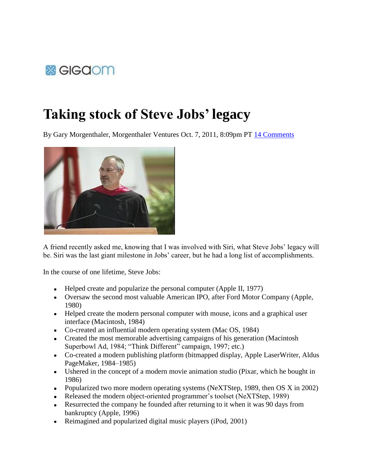

## **Taking stock of Steve Jobs' legacy**

By Gary Morgenthaler, Morgenthaler Ventures Oct. 7, 2011, 8:09pm PT 14 Comments



A friend recently asked me, knowing that I was involved with Siri, what Steve Jobs' legacy will be. Siri was the last giant milestone in Jobs' career, but he had a long list of accomplishments.

In the course of one lifetime, Steve Jobs:

- Helped create and popularize the personal computer (Apple II, 1977)
- Oversaw the second most valuable American IPO, after Ford Motor Company (Apple, 1980)
- Helped create the modern personal computer with mouse, icons and a graphical user interface (Macintosh, 1984)
- Co-created an influential modern operating system (Mac OS, 1984)
- Created the most memorable advertising campaigns of his generation (Macintosh Superbowl Ad, 1984; "Think Different" campaign, 1997; etc.)
- Co-created a modern publishing platform (bitmapped display, Apple LaserWriter, Aldus PageMaker, 1984–1985)
- Ushered in the concept of a modern movie animation studio (Pixar, which he bought in 1986)
- Popularized two more modern operating systems (NeXTStep, 1989, then OS X in 2002)
- Released the modern object-oriented programmer's toolset (NeXTStep, 1989)
- Resurrected the company he founded after returning to it when it was 90 days from bankruptcy (Apple, 1996)
- Reimagined and popularized digital music players (iPod, 2001)